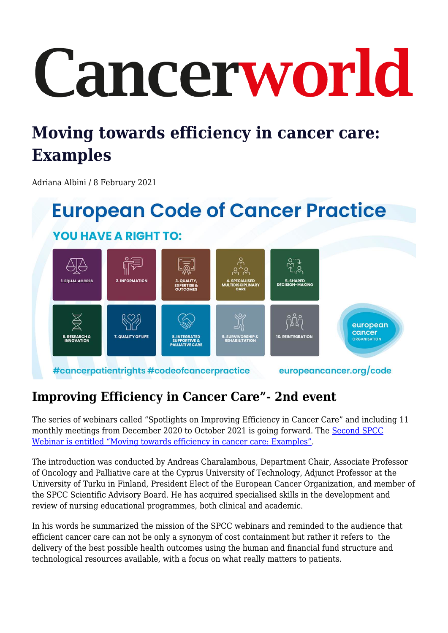# Cancerworld

# **Moving towards efficiency in cancer care: Examples**

Adriana Albini / 8 February 2021

## **European Code of Cancer Practice YOU HAVE A RIGHT TO:** european cancer 7. OUALITY OF LIFE 10. REINTEGRATION #cancerpatientrights #codeofcancerpractice europeancancer.org/code

## **Improving Efficiency in Cancer Care"- 2nd event**

The series of webinars called "Spotlights on Improving Efficiency in Cancer Care" and including 11 monthly meetings from December 2020 to October 2021 is going forward. The [Second SPCC](https://www.oncocorner.net/webinars/25?utm_source=CW&utm_medium=website&utm_campaign=EventsPage) [Webinar is entitled "Moving towards efficiency in cancer care: Examples"](https://www.oncocorner.net/webinars/25?utm_source=CW&utm_medium=website&utm_campaign=EventsPage).

The introduction was conducted by Andreas Charalambous, Department Chair, Associate Professor of Oncology and Palliative care at the Cyprus University of Technology, Adjunct Professor at the University of Turku in Finland, President Elect of the European Cancer Organization, and member of the SPCC Scientific Advisory Board. He has acquired specialised skills in the development and review of nursing educational programmes, both clinical and academic.

In his words he summarized the mission of the SPCC webinars and reminded to the audience that efficient cancer care can not be only a synonym of cost containment but rather it refers to the delivery of the best possible health outcomes using the human and financial fund structure and technological resources available, with a focus on what really matters to patients.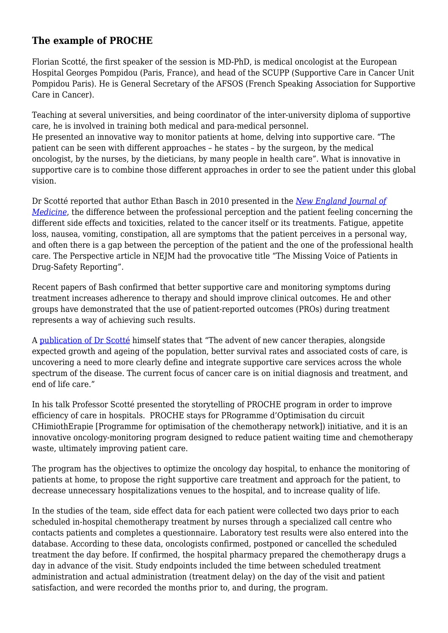#### **The example of PROCHE**

Florian Scotté, the first speaker of the session is MD-PhD, is medical oncologist at the European Hospital Georges Pompidou (Paris, France), and head of the SCUPP (Supportive Care in Cancer Unit Pompidou Paris). He is General Secretary of the AFSOS (French Speaking Association for Supportive Care in Cancer).

Teaching at several universities, and being coordinator of the inter-university diploma of supportive care, he is involved in training both medical and para-medical personnel.

He presented an innovative way to monitor patients at home, delving into supportive care. "The patient can be seen with different approaches – he states – by the surgeon, by the medical oncologist, by the nurses, by the dieticians, by many people in health care". What is innovative in supportive care is to combine those different approaches in order to see the patient under this global vision.

Dr Scotté reported that author Ethan Basch in 2010 presented in the *[New England Journal of](https://www.nejm.org/doi/full/10.1056/NEJMp0911494) [Medicine](https://www.nejm.org/doi/full/10.1056/NEJMp0911494)*, the difference between the professional perception and the patient feeling concerning the different side effects and toxicities, related to the cancer itself or its treatments. Fatigue, appetite loss, nausea, vomiting, constipation, all are symptoms that the patient perceives in a personal way, and often there is a gap between the perception of the patient and the one of the professional health care. The Perspective article in NEJM had the provocative title "The Missing Voice of Patients in Drug-Safety Reporting".

Recent papers of Bash confirmed that better supportive care and monitoring symptoms during treatment increases adherence to therapy and should improve clinical outcomes. He and other groups have demonstrated that the use of patient‐reported outcomes (PROs) during treatment represents a way of achieving such results.

A [publication of Dr Scotté](https://pubmed.ncbi.nlm.nih.gov/32814649/, DOI: 10.1016/j.clon.2020.07.020) himself states that "The advent of new cancer therapies, alongside expected growth and ageing of the population, better survival rates and associated costs of care, is uncovering a need to more clearly define and integrate supportive care services across the whole spectrum of the disease. The current focus of cancer care is on initial diagnosis and treatment, and end of life care."

In his talk Professor Scotté presented the storytelling of PROCHE program in order to improve efficiency of care in hospitals. PROCHE stays for PRogramme d'Optimisation du circuit CHimiothErapie [Programme for optimisation of the chemotherapy network]) initiative, and it is an innovative oncology-monitoring program designed to reduce patient waiting time and chemotherapy waste, ultimately improving patient care.

The program has the objectives to optimize the oncology day hospital, to enhance the monitoring of patients at home, to propose the right supportive care treatment and approach for the patient, to decrease unnecessary hospitalizations venues to the hospital, and to increase quality of life.

In the studies of the team, side effect data for each patient were collected two days prior to each scheduled in-hospital chemotherapy treatment by nurses through a specialized call centre who contacts patients and completes a questionnaire. Laboratory test results were also entered into the database. According to these data, oncologists confirmed, postponed or cancelled the scheduled treatment the day before. If confirmed, the hospital pharmacy prepared the chemotherapy drugs a day in advance of the visit. Study endpoints included the time between scheduled treatment administration and actual administration (treatment delay) on the day of the visit and patient satisfaction, and were recorded the months prior to, and during, the program.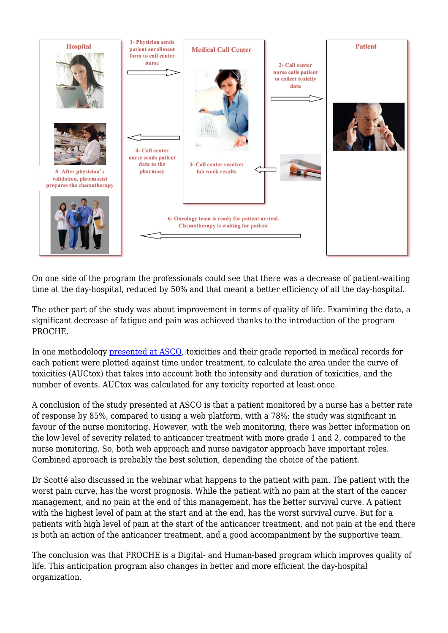

On one side of the program the professionals could see that there was a decrease of patient-waiting time at the day-hospital, reduced by 50% and that meant a better efficiency of all the day-hospital.

The other part of the study was about improvement in terms of quality of life. Examining the data, a significant decrease of fatigue and pain was achieved thanks to the introduction of the program PROCHE.

In one methodology [presented at ASCO](https://ascopubs.org/doi/abs/10.1200/JCO.2019.37.7_suppl.290), toxicities and their grade reported in medical records for each patient were plotted against time under treatment, to calculate the area under the curve of toxicities (AUCtox) that takes into account both the intensity and duration of toxicities, and the number of events. AUCtox was calculated for any toxicity reported at least once.

A conclusion of the study presented at ASCO is that a patient monitored by a nurse has a better rate of response by 85%, compared to using a web platform, with a 78%; the study was significant in favour of the nurse monitoring. However, with the web monitoring, there was better information on the low level of severity related to anticancer treatment with more grade 1 and 2, compared to the nurse monitoring. So, both web approach and nurse navigator approach have important roles. Combined approach is probably the best solution, depending the choice of the patient.

Dr Scotté also discussed in the webinar what happens to the patient with pain. The patient with the worst pain curve, has the worst prognosis. While the patient with no pain at the start of the cancer management, and no pain at the end of this management, has the better survival curve. A patient with the highest level of pain at the start and at the end, has the worst survival curve. But for a patients with high level of pain at the start of the anticancer treatment, and not pain at the end there is both an action of the anticancer treatment, and a good accompaniment by the supportive team.

The conclusion was that PROCHE is a Digital- and Human-based program which improves quality of life. This anticipation program also changes in better and more efficient the day-hospital organization.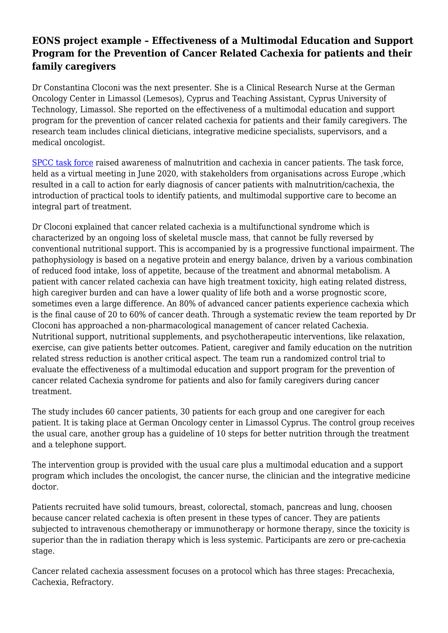#### **EONS project example – Effectiveness of a Multimodal Education and Support Program for the Prevention of Cancer Related Cachexia for patients and their family caregivers**

Dr Constantina Cloconi was the next presenter. She is a Clinical Research Nurse at the German Oncology Center in Limassol (Lemesos), Cyprus and Teaching Assistant, Cyprus University of Technology, Limassol. She reported on the effectiveness of a multimodal education and support program for the prevention of cancer related cachexia for patients and their family caregivers. The research team includes clinical dieticians, integrative medicine specialists, supervisors, and a medical oncologist.

[SPCC task force](https://cancerworld.net/spcc-task-force-raises-awareness-of-malnutrition-and-cachexia-in-cancer-patients/) raised awareness of malnutrition and cachexia in cancer patients. The task force, held as a virtual meeting in June 2020, with stakeholders from organisations across Europe ,which resulted in a call to action for early diagnosis of cancer patients with malnutrition/cachexia, the introduction of practical tools to identify patients, and multimodal supportive care to become an integral part of treatment.

Dr Cloconi explained that cancer related cachexia is a multifunctional syndrome which is characterized by an ongoing loss of skeletal muscle mass, that cannot be fully reversed by conventional nutritional support. This is accompanied by is a progressive functional impairment. The pathophysiology is based on a negative protein and energy balance, driven by a various combination of reduced food intake, loss of appetite, because of the treatment and abnormal metabolism. A patient with cancer related cachexia can have high treatment toxicity, high eating related distress, high caregiver burden and can have a lower quality of life both and a worse prognostic score, sometimes even a large difference. An 80% of advanced cancer patients experience cachexia which is the final cause of 20 to 60% of cancer death. Through a systematic review the team reported by Dr Cloconi has approached a non-pharmacological management of cancer related Cachexia. Nutritional support, nutritional supplements, and psychotherapeutic interventions, like relaxation, exercise, can give patients better outcomes. Patient, caregiver and family education on the nutrition related stress reduction is another critical aspect. The team run a randomized control trial to evaluate the effectiveness of a multimodal education and support program for the prevention of cancer related Cachexia syndrome for patients and also for family caregivers during cancer treatment.

The study includes 60 cancer patients, 30 patients for each group and one caregiver for each patient. It is taking place at German Oncology center in Limassol Cyprus. The control group receives the usual care, another group has a guideline of 10 steps for better nutrition through the treatment and a telephone support.

The intervention group is provided with the usual care plus a multimodal education and a support program which includes the oncologist, the cancer nurse, the clinician and the integrative medicine doctor.

Patients recruited have solid tumours, breast, colorectal, stomach, pancreas and lung, choosen because cancer related cachexia is often present in these types of cancer. They are patients subjected to intravenous chemotherapy or immunotherapy or hormone therapy, since the toxicity is superior than the in radiation therapy which is less systemic. Participants are zero or pre-cachexia stage.

Cancer related cachexia assessment focuses on a protocol which has three stages: Precachexia, Cachexia, Refractory.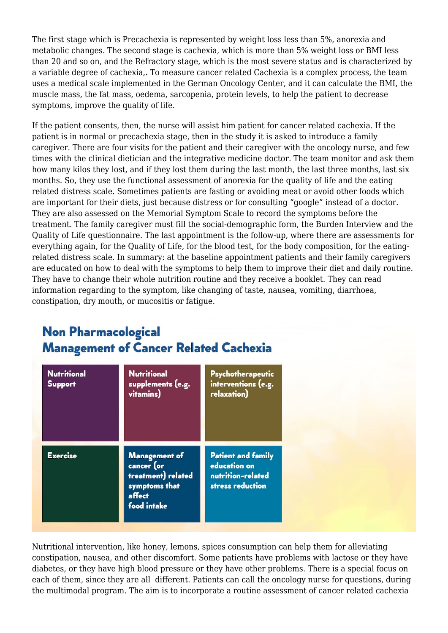The first stage which is Precachexia is represented by weight loss less than 5%, anorexia and metabolic changes. The second stage is cachexia, which is more than 5% weight loss or BMI less than 20 and so on, and the Refractory stage, which is the most severe status and is characterized by a variable degree of cachexia,. To measure cancer related Cachexia is a complex process, the team uses a medical scale implemented in the German Oncology Center, and it can calculate the BMI, the muscle mass, the fat mass, oedema, sarcopenia, protein levels, to help the patient to decrease symptoms, improve the quality of life.

If the patient consents, then, the nurse will assist him patient for cancer related cachexia. If the patient is in normal or precachexia stage, then in the study it is asked to introduce a family caregiver. There are four visits for the patient and their caregiver with the oncology nurse, and few times with the clinical dietician and the integrative medicine doctor. The team monitor and ask them how many kilos they lost, and if they lost them during the last month, the last three months, last six months. So, they use the functional assessment of anorexia for the quality of life and the eating related distress scale. Sometimes patients are fasting or avoiding meat or avoid other foods which are important for their diets, just because distress or for consulting "google" instead of a doctor. They are also assessed on the Memorial Symptom Scale to record the symptoms before the treatment. The family caregiver must fill the social-demographic form, the Burden Interview and the Quality of Life questionnaire. The last appointment is the follow-up, where there are assessments for everything again, for the Quality of Life, for the blood test, for the body composition, for the eatingrelated distress scale. In summary: at the baseline appointment patients and their family caregivers are educated on how to deal with the symptoms to help them to improve their diet and daily routine. They have to change their whole nutrition routine and they receive a booklet. They can read information regarding to the symptom, like changing of taste, nausea, vomiting, diarrhoea, constipation, dry mouth, or mucositis or fatigue.

## **Non Pharmacological Management of Cancer Related Cachexia**

| <b>Nutritional</b><br><b>Support</b> | <b>Nutritional</b><br>supplements (e.g.<br>vitamins)                                               | Psychotherapeutic<br>interventions (e.g.<br>relaxation)                            |
|--------------------------------------|----------------------------------------------------------------------------------------------------|------------------------------------------------------------------------------------|
| <b>Exercise</b>                      | <b>Management of</b><br>cancer (or<br>treatment) related<br>symptoms that<br>affect<br>food intake | <b>Patient and family</b><br>education on<br>nutrition-related<br>stress reduction |

Nutritional intervention, like honey, lemons, spices consumption can help them for alleviating constipation, nausea, and other discomfort. Some patients have problems with lactose or they have diabetes, or they have high blood pressure or they have other problems. There is a special focus on each of them, since they are all different. Patients can call the oncology nurse for questions, during the multimodal program. The aim is to incorporate a routine assessment of cancer related cachexia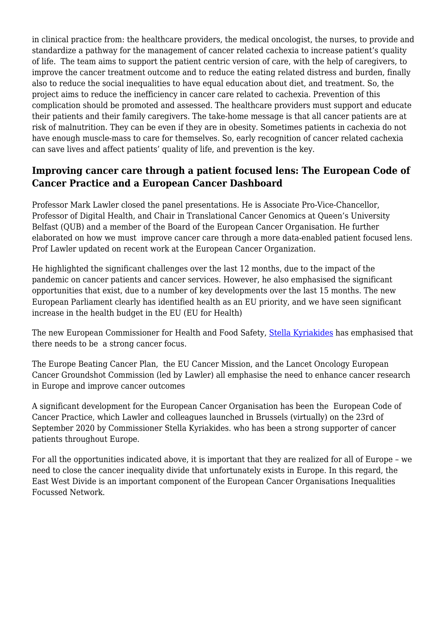in clinical practice from: the healthcare providers, the medical oncologist, the nurses, to provide and standardize a pathway for the management of cancer related cachexia to increase patient's quality of life. The team aims to support the patient centric version of care, with the help of caregivers, to improve the cancer treatment outcome and to reduce the eating related distress and burden, finally also to reduce the social inequalities to have equal education about diet, and treatment. So, the project aims to reduce the inefficiency in cancer care related to cachexia. Prevention of this complication should be promoted and assessed. The healthcare providers must support and educate their patients and their family caregivers. The take-home message is that all cancer patients are at risk of malnutrition. They can be even if they are in obesity. Sometimes patients in cachexia do not have enough muscle-mass to care for themselves. So, early recognition of cancer related cachexia can save lives and affect patients' quality of life, and prevention is the key.

#### **Improving cancer care through a patient focused lens: The European Code of Cancer Practice and a European Cancer Dashboard**

Professor Mark Lawler closed the panel presentations. He is Associate Pro-Vice-Chancellor, Professor of Digital Health, and Chair in Translational Cancer Genomics at Queen's University Belfast (QUB) and a member of the Board of the European Cancer Organisation. He further elaborated on how we must improve cancer care through a more data-enabled patient focused lens. Prof Lawler updated on recent work at the European Cancer Organization.

He highlighted the significant challenges over the last 12 months, due to the impact of the pandemic on cancer patients and cancer services. However, he also emphasised the significant opportunities that exist, due to a number of key developments over the last 15 months. The new European Parliament clearly has identified health as an EU priority, and we have seen significant increase in the health budget in the EU (EU for Health)

The new European Commissioner for Health and Food Safety, [Stella Kyriakides](https://cancerworld.net/stella-kyriakides-eu-commissioner-for-health/) has emphasised that there needs to be a strong cancer focus.

The Europe Beating Cancer Plan, the EU Cancer Mission, and the Lancet Oncology European Cancer Groundshot Commission (led by Lawler) all emphasise the need to enhance cancer research in Europe and improve cancer outcomes

A significant development for the European Cancer Organisation has been the European Code of Cancer Practice, which Lawler and colleagues launched in Brussels (virtually) on the 23rd of September 2020 by Commissioner Stella Kyriakides. who has been a strong supporter of cancer patients throughout Europe.

For all the opportunities indicated above, it is important that they are realized for all of Europe – we need to close the cancer inequality divide that unfortunately exists in Europe. In this regard, the East West Divide is an important component of the European Cancer Organisations Inequalities Focussed Network.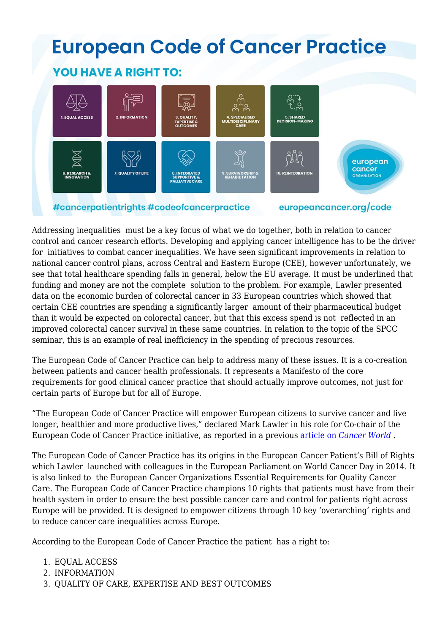# **European Code of Cancer Practice**

### **YOU HAVE A RIGHT TO:**



#cancerpatientrights #codeofcancerpractice

europeancancer.org/code

Addressing inequalities must be a key focus of what we do together, both in relation to cancer control and cancer research efforts. Developing and applying cancer intelligence has to be the driver for initiatives to combat cancer inequalities. We have seen significant improvements in relation to national cancer control plans, across Central and Eastern Europe (CEE), however unfortunately, we see that total healthcare spending falls in general, below the EU average. It must be underlined that funding and money are not the complete solution to the problem. For example, Lawler presented data on the economic burden of colorectal cancer in 33 European countries which showed that certain CEE countries are spending a significantly larger amount of their pharmaceutical budget than it would be expected on colorectal cancer, but that this excess spend is not reflected in an improved colorectal cancer survival in these same countries. In relation to the topic of the SPCC seminar, this is an example of real inefficiency in the spending of precious resources.

The European Code of Cancer Practice can help to address many of these issues. It is a co-creation between patients and cancer health professionals. It represents a Manifesto of the core requirements for good clinical cancer practice that should actually improve outcomes, not just for certain parts of Europe but for all of Europe.

"The European Code of Cancer Practice will empower European citizens to survive cancer and live longer, healthier and more productive lives," declared Mark Lawler in his role for Co-chair of the European Code of Cancer Practice initiative, as reported in a previous [article on](https://cancerworld.net/new-european-code-of-cancer-practice-defines-patient-rights-along-the-cancer-pathway/) *[Cancer World](https://cancerworld.net/new-european-code-of-cancer-practice-defines-patient-rights-along-the-cancer-pathway/)* .

The European Code of Cancer Practice has its origins in the European Cancer Patient's Bill of Rights which Lawler launched with colleagues in the European Parliament on World Cancer Day in 2014. It is also linked to the European Cancer Organizations Essential Requirements for Quality Cancer Care. The European Code of Cancer Practice champions 10 rights that patients must have from their health system in order to ensure the best possible cancer care and control for patients right across Europe will be provided. It is designed to empower citizens through 10 key 'overarching' rights and to reduce cancer care inequalities across Europe.

According to the European Code of Cancer Practice the patient has a right to:

- 1. EQUAL ACCESS
- 2. INFORMATION
- 3. QUALITY OF CARE, EXPERTISE AND BEST OUTCOMES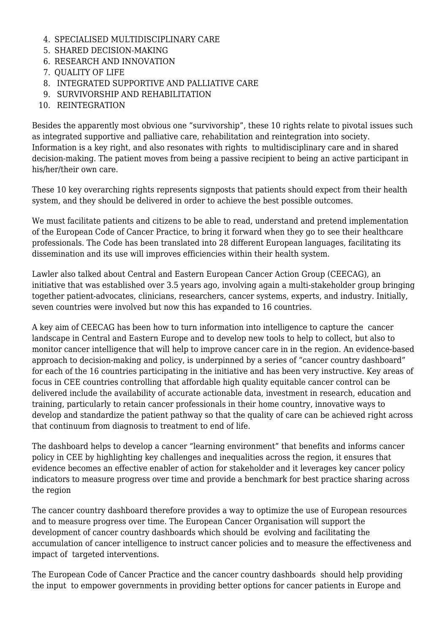- 4. SPECIALISED MULTIDISCIPLINARY CARE
- 5. SHARED DECISION-MAKING
- 6. RESEARCH AND INNOVATION
- 7. QUALITY OF LIFE
- 8. INTEGRATED SUPPORTIVE AND PALLIATIVE CARE
- 9. SURVIVORSHIP AND REHABILITATION
- 10. REINTEGRATION

Besides the apparently most obvious one "survivorship", these 10 rights relate to pivotal issues such as integrated supportive and palliative care, rehabilitation and reintegration into society. Information is a key right, and also resonates with rights to multidisciplinary care and in shared decision-making. The patient moves from being a passive recipient to being an active participant in his/her/their own care.

These 10 key overarching rights represents signposts that patients should expect from their health system, and they should be delivered in order to achieve the best possible outcomes.

We must facilitate patients and citizens to be able to read, understand and pretend implementation of the European Code of Cancer Practice, to bring it forward when they go to see their healthcare professionals. The Code has been translated into 28 different European languages, facilitating its dissemination and its use will improves efficiencies within their health system.

Lawler also talked about Central and Eastern European Cancer Action Group (CEECAG), an initiative that was established over 3.5 years ago, involving again a multi-stakeholder group bringing together patient-advocates, clinicians, researchers, cancer systems, experts, and industry. Initially, seven countries were involved but now this has expanded to 16 countries.

A key aim of CEECAG has been how to turn information into intelligence to capture the cancer landscape in Central and Eastern Europe and to develop new tools to help to collect, but also to monitor cancer intelligence that will help to improve cancer care in in the region. An evidence-based approach to decision-making and policy, is underpinned by a series of "cancer country dashboard" for each of the 16 countries participating in the initiative and has been very instructive. Key areas of focus in CEE countries controlling that affordable high quality equitable cancer control can be delivered include the availability of accurate actionable data, investment in research, education and training, particularly to retain cancer professionals in their home country, innovative ways to develop and standardize the patient pathway so that the quality of care can be achieved right across that continuum from diagnosis to treatment to end of life.

The dashboard helps to develop a cancer "learning environment" that benefits and informs cancer policy in CEE by highlighting key challenges and inequalities across the region, it ensures that evidence becomes an effective enabler of action for stakeholder and it leverages key cancer policy indicators to measure progress over time and provide a benchmark for best practice sharing across the region

The cancer country dashboard therefore provides a way to optimize the use of European resources and to measure progress over time. The European Cancer Organisation will support the development of cancer country dashboards which should be evolving and facilitating the accumulation of cancer intelligence to instruct cancer policies and to measure the effectiveness and impact of targeted interventions.

The European Code of Cancer Practice and the cancer country dashboards should help providing the input to empower governments in providing better options for cancer patients in Europe and